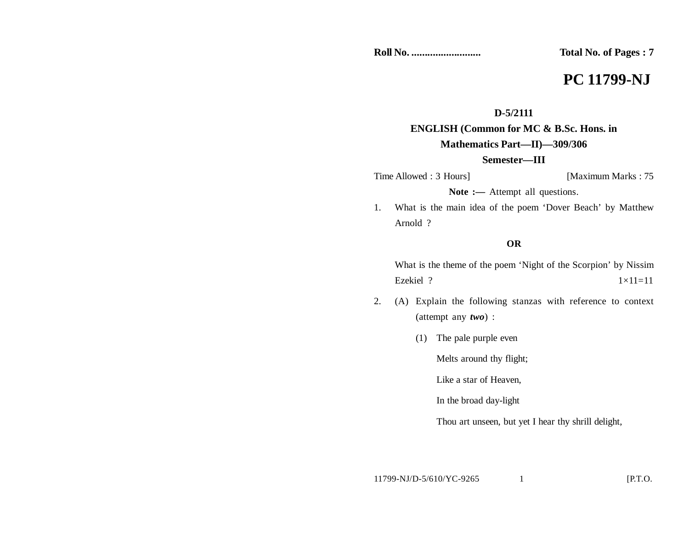**Roll No. .......................... Total No. of Pages : 7**

# **PC 11799-NJ**

# **D-5/2111**

# **ENGLISH (Common for MC & B.Sc. Hons. in Mathematics Part—II)—309/306**

### **Semester—III**

Time Allowed : 3 Hours] [Maximum Marks : 75]

Note :— Attempt all questions.

1. What is the main idea of the poem 'Dover Beach' by Matthew Arnold ?

### **OR**

What is the theme of the poem 'Night of the Scorpion' by Nissim Ezekiel ?  $1 \times 11 = 11$ 

- 2. (A) Explain the following stanzas with reference to context (attempt any *two*) :
	- (1) The pale purple even

Melts around thy flight;

Like a star of Heaven,

In the broad day-light

Thou art unseen, but yet I hear thy shrill delight,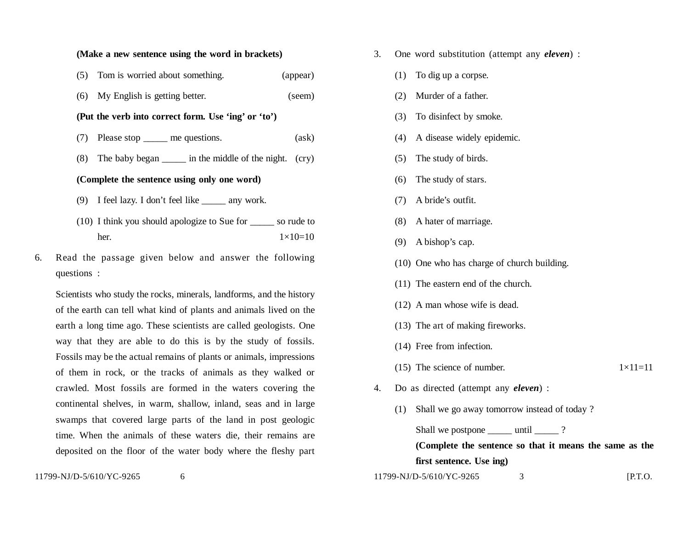#### **(Make a new sentence using the word in brackets)**

| (5) Tom is worried about something. | (appear) |
|-------------------------------------|----------|
|                                     |          |

(6) My English is getting better. (seem)

#### **(Put the verb into correct form. Use 'ing' or 'to')**

- (7) Please stop \_\_\_\_\_ me questions. (ask)
- (8) The baby began \_\_\_\_\_ in the middle of the night. (cry)

#### **(Complete the sentence using only one word)**

- (9) I feel lazy. I don't feel like \_\_\_\_\_ any work.
- (10) I think you should apologize to Sue for \_\_\_\_\_ so rude to her.  $1 \times 10 = 10$
- 6. Read the passage given below and answer the following questions :

Scientists who study the rocks, minerals, landforms, and the history of the earth can tell what kind of plants and animals lived on the earth a long time ago. These scientists are called geologists. One way that they are able to do this is by the study of fossils. Fossils may be the actual remains of plants or animals, impressions of them in rock, or the tracks of animals as they walked or crawled. Most fossils are formed in the waters covering the continental shelves, in warm, shallow, inland, seas and in large swamps that covered large parts of the land in post geologic time. When the animals of these waters die, their remains are deposited on the floor of the water body where the fleshy part

11799-NJ/D-5/610/YC-9265 6

- 3. One word substitution (attempt any *eleven*) :
	- (1) To dig up a corpse.
	- (2) Murder of a father.
	- (3) To disinfect by smoke.
	- (4) A disease widely epidemic.
	- (5) The study of birds.
	- (6) The study of stars.
	- (7) A bride's outfit.
	- (8) A hater of marriage.
	- (9) A bishop's cap.
	- (10) One who has charge of church building.
	- (11) The eastern end of the church.
	- (12) A man whose wife is dead.
	- (13) The art of making fireworks.
	- (14) Free from infection.
	- (15) The science of number.  $1 \times 11 = 11$ 
		-

- 4. Do as directed (attempt any *eleven*) :
	- (1) Shall we go away tomorrow instead of today ?

Shall we postpone \_\_\_\_\_\_ until \_\_\_\_\_\_ ? **(Complete the sentence so that it means the same as the first sentence. Use ing)**

11799-NJ/D-5/610/YC-9265 3 [P.T.O.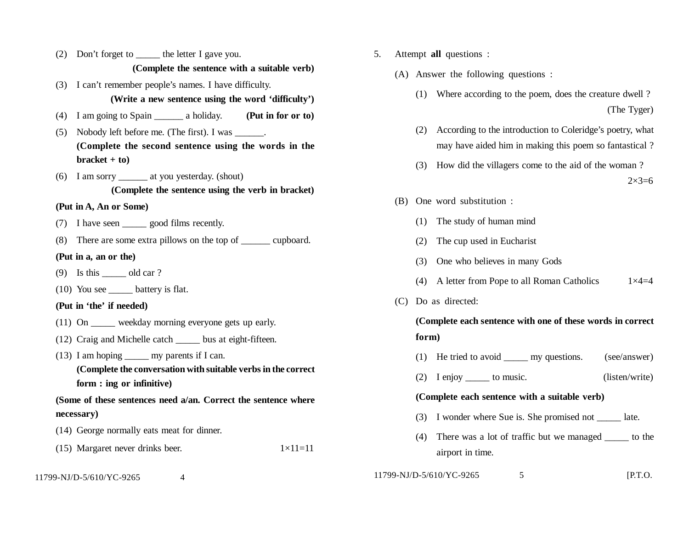- (2) Don't forget to \_\_\_\_\_ the letter I gave you. **(Complete the sentence with a suitable verb)**
- (3) I can't remember people's names. I have difficulty. **(Write a new sentence using the word 'difficulty')**
- (4) I am going to Spain \_\_\_\_\_\_ a holiday. **(Put in for or to)**
- (5) Nobody left before me. (The first). I was  $\qquad \qquad$ . **(Complete the second sentence using the words in the bracket + to)**
- (6) I am sorry \_\_\_\_\_\_ at you yesterday. (shout) **(Complete the sentence using the verb in bracket)**

#### **(Put in A, An or Some)**

- (7) I have seen \_\_\_\_\_ good films recently.
- (8) There are some extra pillows on the top of \_\_\_\_\_\_ cupboard.

#### **(Put in a, an or the)**

- (9) Is this old car ?
- (10) You see \_\_\_\_\_ battery is flat.

### **(Put in 'the' if needed)**

- (11) On \_\_\_\_\_ weekday morning everyone gets up early.
- (12) Craig and Michelle catch \_\_\_\_\_ bus at eight-fifteen.
- $(13)$  I am hoping my parents if I can.
	- **(Complete the conversation with suitable verbs in the correct form : ing or infinitive)**

## **(Some of these sentences need a/an. Correct the sentence where necessary)**

- (14) George normally eats meat for dinner.
- (15) Margaret never drinks beer.  $1 \times 11 = 11$
- 11799-NJ/D-5/610/YC-9265 4
- 5. Attempt **all** questions :
	- (A) Answer the following questions :
		- (1) Where according to the poem, does the creature dwell ? (The Tyger)
		- (2) According to the introduction to Coleridge's poetry, what may have aided him in making this poem so fantastical ?
		- (3) How did the villagers come to the aid of the woman ?

 $2 \times 3 = 6$ 

- (B) One word substitution :
	- (1) The study of human mind
	- (2) The cup used in Eucharist
	- (3) One who believes in many Gods
	- (4) A letter from Pope to all Roman Catholics  $1 \times 4=4$
- (C) Do as directed:

# **(Complete each sentence with one of these words in correct form)**

- (1) He tried to avoid \_\_\_\_\_ my questions. (see/answer)
- (2) I enjoy \_\_\_\_\_ to music. (listen/write)

#### **(Complete each sentence with a suitable verb)**

- (3) I wonder where Sue is. She promised not \_\_\_\_\_ late.
- (4) There was a lot of traffic but we managed \_\_\_\_\_ to the airport in time.

| 11799-NJ/D-5/610/YC-9265 |  | $[$ P.T.O. |
|--------------------------|--|------------|
|--------------------------|--|------------|